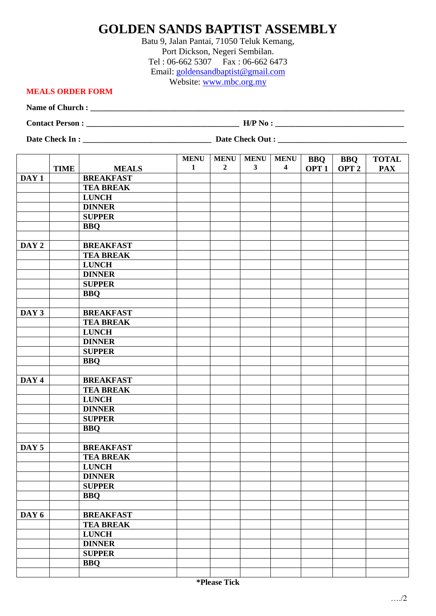## **GOLDEN SANDS BAPTIST ASSEMBLY**

Batu 9, Jalan Pantai, 71050 Teluk Kemang, Port Dickson, Negeri Sembilan. Tel : 06-662 5307 Fax : 06-662 6473 Email: [goldensandbaptist@gmail.com](mailto:goldensandbaptist@gmail.com) Website: [www.mbc.org.my](http://www.mbc.org.my/)

## **MEALS ORDER FORM**

**Name of Church : \_\_\_\_\_\_\_\_\_\_\_\_\_\_\_\_\_\_\_\_\_\_\_\_\_\_\_\_\_\_\_\_\_\_\_\_\_\_\_\_\_\_\_\_\_\_\_\_\_\_\_\_\_\_\_\_\_\_\_\_\_\_\_\_\_\_\_\_\_\_\_\_\_\_\_\_\_\_**

**Contact Person : \_\_\_\_\_\_\_\_\_\_\_\_\_\_\_\_\_\_\_\_\_\_\_\_\_\_\_\_\_\_\_\_\_\_\_\_\_\_ H/P No : \_\_\_\_\_\_\_\_\_\_\_\_\_\_\_\_\_\_\_\_\_\_\_\_\_\_\_\_\_\_\_\_**

**Date Check In : \_\_\_\_\_\_\_\_\_\_\_\_\_\_\_\_\_\_\_\_\_\_\_\_\_\_\_\_\_\_\_\_ Date Check Out : \_\_\_\_\_\_\_\_\_\_\_\_\_\_\_\_\_\_\_\_\_\_\_\_\_\_\_\_\_\_\_\_**

|                  |             |                  | <b>MENU</b>  | <b>MENU</b>    | <b>MENU</b>  | <b>MENU</b>      | <b>BBQ</b>       | <b>BBQ</b>       | <b>TOTAL</b> |
|------------------|-------------|------------------|--------------|----------------|--------------|------------------|------------------|------------------|--------------|
|                  | <b>TIME</b> | <b>MEALS</b>     | $\mathbf{1}$ | $\overline{2}$ | $\mathbf{3}$ | $\boldsymbol{4}$ | OPT <sub>1</sub> | OPT <sub>2</sub> | <b>PAX</b>   |
| DAY <sub>1</sub> |             | <b>BREAKFAST</b> |              |                |              |                  |                  |                  |              |
|                  |             | <b>TEA BREAK</b> |              |                |              |                  |                  |                  |              |
|                  |             | <b>LUNCH</b>     |              |                |              |                  |                  |                  |              |
|                  |             | <b>DINNER</b>    |              |                |              |                  |                  |                  |              |
|                  |             | <b>SUPPER</b>    |              |                |              |                  |                  |                  |              |
|                  |             | <b>BBQ</b>       |              |                |              |                  |                  |                  |              |
|                  |             |                  |              |                |              |                  |                  |                  |              |
| DAY 2            |             | <b>BREAKFAST</b> |              |                |              |                  |                  |                  |              |
|                  |             | <b>TEA BREAK</b> |              |                |              |                  |                  |                  |              |
|                  |             | <b>LUNCH</b>     |              |                |              |                  |                  |                  |              |
|                  |             | <b>DINNER</b>    |              |                |              |                  |                  |                  |              |
|                  |             | <b>SUPPER</b>    |              |                |              |                  |                  |                  |              |
|                  |             | <b>BBQ</b>       |              |                |              |                  |                  |                  |              |
|                  |             |                  |              |                |              |                  |                  |                  |              |
| DAY 3            |             | <b>BREAKFAST</b> |              |                |              |                  |                  |                  |              |
|                  |             | <b>TEA BREAK</b> |              |                |              |                  |                  |                  |              |
|                  |             | <b>LUNCH</b>     |              |                |              |                  |                  |                  |              |
|                  |             | <b>DINNER</b>    |              |                |              |                  |                  |                  |              |
|                  |             | <b>SUPPER</b>    |              |                |              |                  |                  |                  |              |
|                  |             | <b>BBQ</b>       |              |                |              |                  |                  |                  |              |
|                  |             |                  |              |                |              |                  |                  |                  |              |
| DAY 4            |             | <b>BREAKFAST</b> |              |                |              |                  |                  |                  |              |
|                  |             | <b>TEA BREAK</b> |              |                |              |                  |                  |                  |              |
|                  |             | <b>LUNCH</b>     |              |                |              |                  |                  |                  |              |
|                  |             | <b>DINNER</b>    |              |                |              |                  |                  |                  |              |
|                  |             | <b>SUPPER</b>    |              |                |              |                  |                  |                  |              |
|                  |             | <b>BBQ</b>       |              |                |              |                  |                  |                  |              |
|                  |             |                  |              |                |              |                  |                  |                  |              |
| DAY <sub>5</sub> |             | <b>BREAKFAST</b> |              |                |              |                  |                  |                  |              |
|                  |             | <b>TEA BREAK</b> |              |                |              |                  |                  |                  |              |
|                  |             | <b>LUNCH</b>     |              |                |              |                  |                  |                  |              |
|                  |             | <b>DINNER</b>    |              |                |              |                  |                  |                  |              |
|                  |             | <b>SUPPER</b>    |              |                |              |                  |                  |                  |              |
|                  |             | <b>BBQ</b>       |              |                |              |                  |                  |                  |              |
|                  |             |                  |              |                |              |                  |                  |                  |              |
| DAY 6            |             | <b>BREAKFAST</b> |              |                |              |                  |                  |                  |              |
|                  |             | <b>TEA BREAK</b> |              |                |              |                  |                  |                  |              |
|                  |             | <b>LUNCH</b>     |              |                |              |                  |                  |                  |              |
|                  |             | <b>DINNER</b>    |              |                |              |                  |                  |                  |              |
|                  |             | <b>SUPPER</b>    |              |                |              |                  |                  |                  |              |
|                  |             | <b>BBQ</b>       |              |                |              |                  |                  |                  |              |
|                  |             |                  |              |                |              |                  |                  |                  |              |
|                  |             |                  |              |                |              |                  |                  |                  |              |